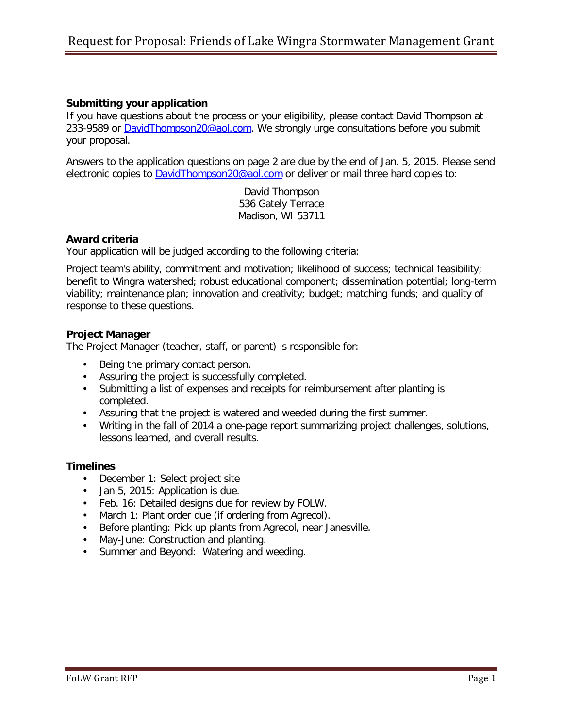# **Submitting your application**

If you have questions about the process or your eligibility, please contact David Thompson at 233-9589 or [DavidThompson20@aol.com.](mailto:DavidThompson20@aol.com) We strongly urge consultations before you submit your proposal.

Answers to the application questions on page 2 are due by the end of Jan. 5, 2015. Please send electronic copies to [DavidThompson20@aol.com](mailto:DavidThompson20@aol.com) or deliver or mail three hard copies to:

> David Thompson 536 Gately Terrace Madison, WI 53711

## **Award criteria**

Your application will be judged according to the following criteria:

Project team's ability, commitment and motivation; likelihood of success; technical feasibility; benefit to Wingra watershed; robust educational component; dissemination potential; long-term viability; maintenance plan; innovation and creativity; budget; matching funds; and quality of response to these questions.

## **Project Manager**

The Project Manager (teacher, staff, or parent) is responsible for:

- Being the primary contact person.
- Assuring the project is successfully completed.
- Submitting a list of expenses and receipts for reimbursement after planting is completed.
- Assuring that the project is watered and weeded during the first summer.
- Writing in the fall of 2014 a one-page report summarizing project challenges, solutions, lessons learned, and overall results.

#### **Timelines**

- December 1: Select project site
- Jan 5, 2015: Application is due.
- Feb. 16: Detailed designs due for review by FOLW.
- March 1: Plant order due (if ordering from Agrecol).
- Before planting: Pick up plants from Agrecol, near Janesville.
- May-June: Construction and planting.
- Summer and Beyond: Watering and weeding.